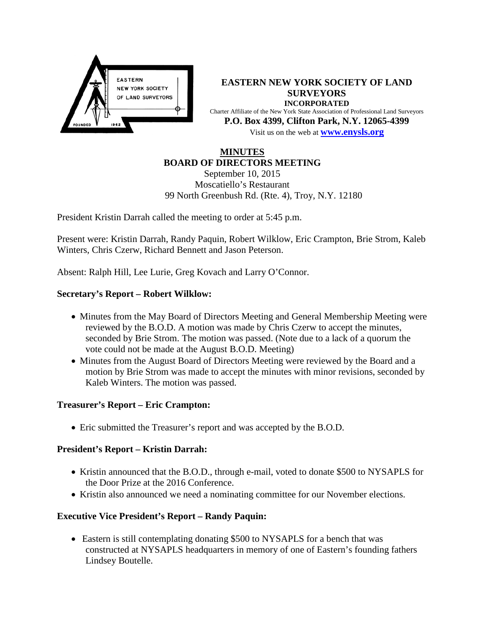

**EASTERN NEW YORK SOCIETY OF LAND SURVEYORS INCORPORATED** Charter Affiliate of the New York State Association of Professional Land Surveyors **P.O. Box 4399, Clifton Park, N.Y. 12065-4399** Visit us on the web at **[www.e](http://www.enysls.org/)nysls.org**

## **MINUTES BOARD OF DIRECTORS MEETING**

September 10, 2015 Moscatiello's Restaurant 99 North Greenbush Rd. (Rte. 4), Troy, N.Y. 12180

President Kristin Darrah called the meeting to order at 5:45 p.m.

Present were: Kristin Darrah, Randy Paquin, Robert Wilklow, Eric Crampton, Brie Strom, Kaleb Winters, Chris Czerw, Richard Bennett and Jason Peterson.

Absent: Ralph Hill, Lee Lurie, Greg Kovach and Larry O'Connor.

## **Secretary's Report – Robert Wilklow:**

- Minutes from the May Board of Directors Meeting and General Membership Meeting were reviewed by the B.O.D. A motion was made by Chris Czerw to accept the minutes, seconded by Brie Strom. The motion was passed. (Note due to a lack of a quorum the vote could not be made at the August B.O.D. Meeting)
- Minutes from the August Board of Directors Meeting were reviewed by the Board and a motion by Brie Strom was made to accept the minutes with minor revisions, seconded by Kaleb Winters. The motion was passed.

### **Treasurer's Report – Eric Crampton:**

• Eric submitted the Treasurer's report and was accepted by the B.O.D.

### **President's Report – Kristin Darrah:**

- Kristin announced that the B.O.D., through e-mail, voted to donate \$500 to NYSAPLS for the Door Prize at the 2016 Conference.
- Kristin also announced we need a nominating committee for our November elections.

# **Executive Vice President's Report – Randy Paquin:**

• Eastern is still contemplating donating \$500 to NYSAPLS for a bench that was constructed at NYSAPLS headquarters in memory of one of Eastern's founding fathers Lindsey Boutelle.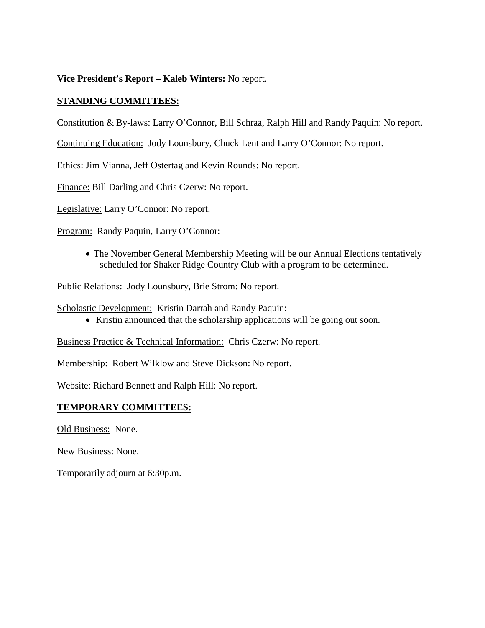**Vice President's Report – Kaleb Winters:** No report.

# **STANDING COMMITTEES:**

Constitution & By-laws: Larry O'Connor, Bill Schraa, Ralph Hill and Randy Paquin: No report.

Continuing Education: Jody Lounsbury, Chuck Lent and Larry O'Connor: No report.

Ethics: Jim Vianna, Jeff Ostertag and Kevin Rounds: No report.

Finance: Bill Darling and Chris Czerw: No report.

Legislative: Larry O'Connor: No report.

Program: Randy Paquin, Larry O'Connor:

• The November General Membership Meeting will be our Annual Elections tentatively scheduled for Shaker Ridge Country Club with a program to be determined.

Public Relations: Jody Lounsbury, Brie Strom: No report.

Scholastic Development: Kristin Darrah and Randy Paquin:

• Kristin announced that the scholarship applications will be going out soon.

Business Practice & Technical Information: Chris Czerw: No report.

Membership: Robert Wilklow and Steve Dickson: No report.

Website: Richard Bennett and Ralph Hill: No report.

### **TEMPORARY COMMITTEES:**

Old Business: None.

New Business: None.

Temporarily adjourn at 6:30p.m.